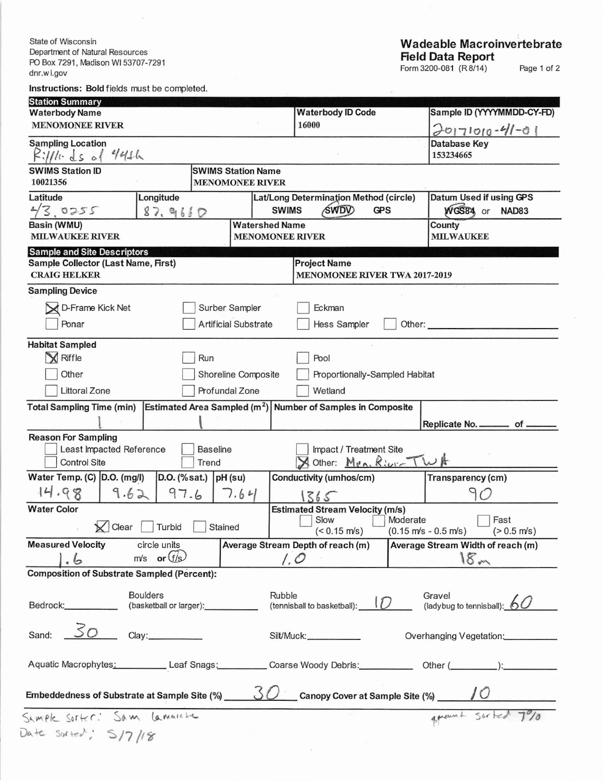State of Wisconsin Department of Natural Resources PO Box 7291, Madison WI 53707-7291 dnr.wi.gov

## **Wadeable Macroinvertebrate** Field Data Report<br>Form 3200-081 (R8/14)

Page 1 of 2

Instructions: Bold fields must be completed.

| <b>Station Summary</b>                                                                          |                                                 |                                                            |                                                                    |                                                                                      |                                                                                  |  |  |  |  |  |
|-------------------------------------------------------------------------------------------------|-------------------------------------------------|------------------------------------------------------------|--------------------------------------------------------------------|--------------------------------------------------------------------------------------|----------------------------------------------------------------------------------|--|--|--|--|--|
| <b>Waterbody Name</b><br><b>MENOMONEE RIVER</b>                                                 |                                                 |                                                            | <b>Waterbody ID Code</b><br>16000                                  |                                                                                      | Sample ID (YYYYMMDD-CY-FD)                                                       |  |  |  |  |  |
|                                                                                                 |                                                 |                                                            |                                                                    |                                                                                      | $70171010 - 41 - 01$                                                             |  |  |  |  |  |
| <b>Sampling Location</b><br>$R11111.$ ds of 441h                                                |                                                 |                                                            |                                                                    |                                                                                      | Database Key<br>153234665                                                        |  |  |  |  |  |
| <b>SWIMS Station ID</b>                                                                         |                                                 | <b>SWIMS Station Name</b>                                  |                                                                    |                                                                                      |                                                                                  |  |  |  |  |  |
| 10021356<br><b>MENOMONEE RIVER</b>                                                              |                                                 |                                                            |                                                                    |                                                                                      |                                                                                  |  |  |  |  |  |
| Latitude                                                                                        | Longitude                                       |                                                            | Lat/Long Determination Method (circle)                             |                                                                                      | Datum Used if using GPS                                                          |  |  |  |  |  |
| 43.0255<br>87,9660                                                                              |                                                 |                                                            | <b>SWIMS</b><br><b>SWDV</b><br><b>GPS</b>                          | WGS84 or NAD83                                                                       |                                                                                  |  |  |  |  |  |
| Basin (WMU)<br><b>Watershed Name</b>                                                            |                                                 |                                                            |                                                                    | County                                                                               |                                                                                  |  |  |  |  |  |
| <b>MILWAUKEE RIVER</b>                                                                          |                                                 | <b>MENOMONEE RIVER</b>                                     | <b>MILWAUKEE</b>                                                   |                                                                                      |                                                                                  |  |  |  |  |  |
| <b>Sample and Site Descriptors</b><br>Sample Collector (Last Name, First)                       |                                                 |                                                            | <b>Project Name</b>                                                |                                                                                      |                                                                                  |  |  |  |  |  |
| <b>CRAIG HELKER</b>                                                                             |                                                 | <b>MENOMONEE RIVER TWA 2017-2019</b>                       |                                                                    |                                                                                      |                                                                                  |  |  |  |  |  |
| <b>Sampling Device</b>                                                                          |                                                 |                                                            |                                                                    |                                                                                      |                                                                                  |  |  |  |  |  |
|                                                                                                 |                                                 |                                                            |                                                                    |                                                                                      |                                                                                  |  |  |  |  |  |
| D-Frame Kick Net                                                                                | Surber Sampler                                  |                                                            | Eckman                                                             |                                                                                      |                                                                                  |  |  |  |  |  |
| Ponar                                                                                           |                                                 | <b>Artificial Substrate</b>                                | Hess Sampler                                                       | Other:                                                                               |                                                                                  |  |  |  |  |  |
| <b>Habitat Sampled</b>                                                                          |                                                 |                                                            |                                                                    |                                                                                      |                                                                                  |  |  |  |  |  |
| K Riffle                                                                                        | Run                                             |                                                            | Pool                                                               |                                                                                      |                                                                                  |  |  |  |  |  |
| Other                                                                                           | Shoreline Composite                             | Proportionally-Sampled Habitat                             |                                                                    |                                                                                      |                                                                                  |  |  |  |  |  |
|                                                                                                 |                                                 |                                                            |                                                                    |                                                                                      |                                                                                  |  |  |  |  |  |
| <b>Littoral Zone</b>                                                                            |                                                 | Profundal Zone                                             | Wetland                                                            |                                                                                      |                                                                                  |  |  |  |  |  |
| <b>Total Sampling Time (min)</b>                                                                |                                                 |                                                            | Estimated Area Sampled $(m^2)$ Number of Samples in Composite      |                                                                                      |                                                                                  |  |  |  |  |  |
|                                                                                                 |                                                 |                                                            |                                                                    |                                                                                      | Replicate No. __________ of _                                                    |  |  |  |  |  |
| <b>Reason For Sampling</b>                                                                      |                                                 |                                                            |                                                                    |                                                                                      |                                                                                  |  |  |  |  |  |
| Least Impacted Reference                                                                        | <b>Baseline</b>                                 | Impact / Treatment Site                                    |                                                                    |                                                                                      |                                                                                  |  |  |  |  |  |
| <b>Control Site</b>                                                                             |                                                 | A Other: Men. River TWA                                    |                                                                    |                                                                                      |                                                                                  |  |  |  |  |  |
| Water Temp. (C) D.O. (mg/l)                                                                     | $D.O.$ (% sat.) $pH$ (su)                       |                                                            | Conductivity (umhos/cm)                                            |                                                                                      | Transparency (cm)                                                                |  |  |  |  |  |
| 14.98<br>9.62                                                                                   | 97.6                                            | 7.64                                                       | 1365                                                               |                                                                                      | 90                                                                               |  |  |  |  |  |
| <b>Water Color</b>                                                                              |                                                 |                                                            | <b>Estimated Stream Velocity (m/s)</b>                             |                                                                                      |                                                                                  |  |  |  |  |  |
| Clear                                                                                           | Stained                                         | Slow<br>$($ < 0.15 m/s)                                    | Moderate<br>Fast<br>(0.15 m/s - 0.5 m/s)<br>$( > 0.5 \text{ m/s})$ |                                                                                      |                                                                                  |  |  |  |  |  |
| <b>Measured Velocity</b>                                                                        | circle units                                    |                                                            |                                                                    | <b>Average Stream Depth of reach (m)</b><br><b>Average Stream Width of reach (m)</b> |                                                                                  |  |  |  |  |  |
| $\cdot \circ$                                                                                   | $m/s$ or $(f/s)$                                |                                                            |                                                                    | 1,0                                                                                  |                                                                                  |  |  |  |  |  |
| <b>Composition of Substrate Sampled (Percent):</b>                                              |                                                 |                                                            |                                                                    |                                                                                      | 18 <sub>m</sub>                                                                  |  |  |  |  |  |
|                                                                                                 |                                                 |                                                            |                                                                    |                                                                                      |                                                                                  |  |  |  |  |  |
| <b>Boulders</b><br>Bedrock:___________                                                          |                                                 | Rubble<br>$\frac{R}{L}$ (tennisball to basketball): $\Box$ | Gravel<br>Gravel<br>(ladybug to tennisball): 60                    |                                                                                      |                                                                                  |  |  |  |  |  |
|                                                                                                 | (basketball or larger): ____________            |                                                            |                                                                    |                                                                                      |                                                                                  |  |  |  |  |  |
| 50<br>Sand:                                                                                     | Clay:____________                               |                                                            | Silt/Muck: ______________<br>Overhanging Vegetation:               |                                                                                      |                                                                                  |  |  |  |  |  |
|                                                                                                 |                                                 |                                                            |                                                                    |                                                                                      |                                                                                  |  |  |  |  |  |
|                                                                                                 |                                                 |                                                            |                                                                    |                                                                                      | Aquatic Macrophytes: Leaf Snags: Coarse Woody Debris: Other (Community Content): |  |  |  |  |  |
| $30$ Canopy Cover at Sample Site (%) $\sqrt{0}$<br>Embeddedness of Substrate at Sample Site (%) |                                                 |                                                            |                                                                    |                                                                                      |                                                                                  |  |  |  |  |  |
|                                                                                                 | grount suited 7%<br>Sample Soffer: Sam lamaiche |                                                            |                                                                    |                                                                                      |                                                                                  |  |  |  |  |  |
|                                                                                                 |                                                 |                                                            |                                                                    |                                                                                      |                                                                                  |  |  |  |  |  |
| Date Surred: 5/7/18                                                                             |                                                 |                                                            |                                                                    |                                                                                      |                                                                                  |  |  |  |  |  |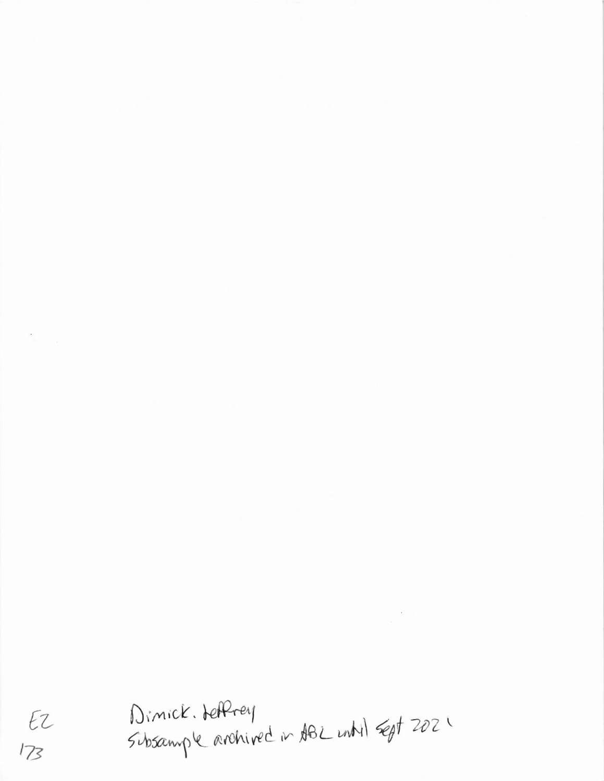Dimick. HetPrey<br>Subsample archived in 1982 until sept 2021  $Ez$ 

 $\label{eq:R1} \begin{array}{c} \mathbb{R}^2 \times \mathbb{R}^2 \times \mathbb{R}^2 \times \mathbb{R}^2 \times \mathbb{R}^2 \times \mathbb{R}^2 \times \mathbb{R}^2 \times \mathbb{R}^2 \times \mathbb{R}^2 \times \mathbb{R}^2 \times \mathbb{R}^2 \times \mathbb{R}^2 \times \mathbb{R}^2 \times \mathbb{R}^2 \times \mathbb{R}^2 \times \mathbb{R}^2 \times \mathbb{R}^2 \times \mathbb{R}^2 \times \mathbb{R}^2 \times \mathbb{R}^2 \times \mathbb{R$ 

 $\langle \bullet \rangle$ 

 $173$